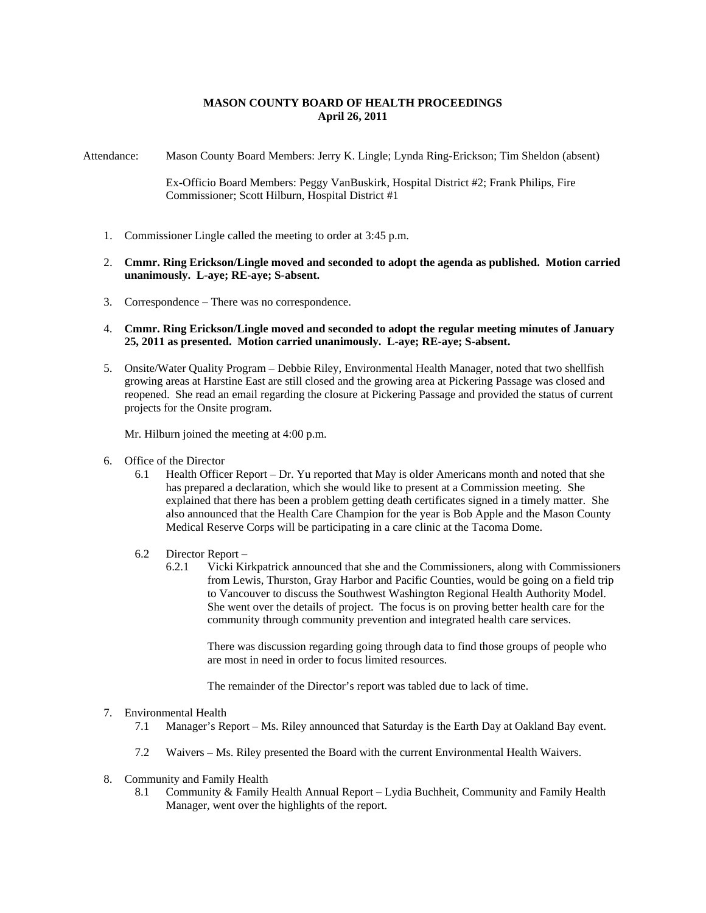## **MASON COUNTY BOARD OF HEALTH PROCEEDINGS April 26, 2011**

Attendance: Mason County Board Members: Jerry K. Lingle; Lynda Ring-Erickson; Tim Sheldon (absent)

Ex-Officio Board Members: Peggy VanBuskirk, Hospital District #2; Frank Philips, Fire Commissioner; Scott Hilburn, Hospital District #1

- 1. Commissioner Lingle called the meeting to order at 3:45 p.m.
- 2. **Cmmr. Ring Erickson/Lingle moved and seconded to adopt the agenda as published. Motion carried unanimously. L-aye; RE-aye; S-absent.**
- 3. Correspondence There was no correspondence.
- 4. **Cmmr. Ring Erickson/Lingle moved and seconded to adopt the regular meeting minutes of January 25, 2011 as presented. Motion carried unanimously. L-aye; RE-aye; S-absent.**
- 5. Onsite/Water Quality Program Debbie Riley, Environmental Health Manager, noted that two shellfish growing areas at Harstine East are still closed and the growing area at Pickering Passage was closed and reopened. She read an email regarding the closure at Pickering Passage and provided the status of current projects for the Onsite program.

Mr. Hilburn joined the meeting at 4:00 p.m.

- 6. Office of the Director
	- 6.1 Health Officer Report Dr. Yu reported that May is older Americans month and noted that she has prepared a declaration, which she would like to present at a Commission meeting. She explained that there has been a problem getting death certificates signed in a timely matter. She also announced that the Health Care Champion for the year is Bob Apple and the Mason County Medical Reserve Corps will be participating in a care clinic at the Tacoma Dome.
	- 6.2 Director Report
		- 6.2.1 Vicki Kirkpatrick announced that she and the Commissioners, along with Commissioners from Lewis, Thurston, Gray Harbor and Pacific Counties, would be going on a field trip to Vancouver to discuss the Southwest Washington Regional Health Authority Model. She went over the details of project. The focus is on proving better health care for the community through community prevention and integrated health care services.

There was discussion regarding going through data to find those groups of people who are most in need in order to focus limited resources.

The remainder of the Director's report was tabled due to lack of time.

## 7. Environmental Health

- 7.1 Manager's Report Ms. Riley announced that Saturday is the Earth Day at Oakland Bay event.
- 7.2 Waivers Ms. Riley presented the Board with the current Environmental Health Waivers.
- 8. Community and Family Health
	- 8.1 Community & Family Health Annual Report Lydia Buchheit, Community and Family Health Manager, went over the highlights of the report.